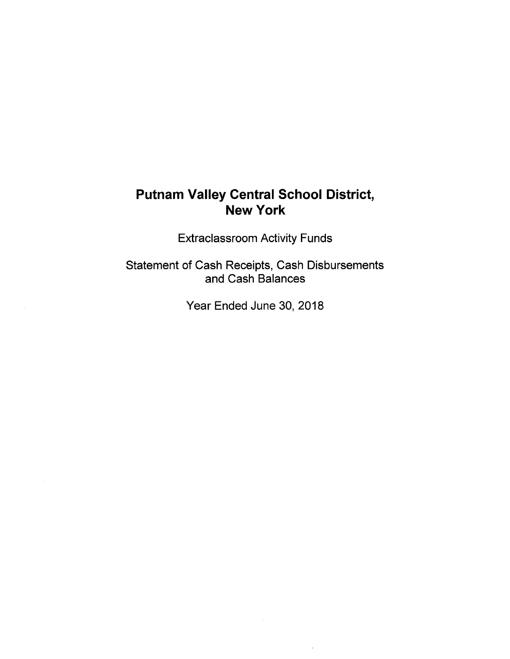# **Putnam Valley Central School District, New York**

Extraclassroom Activity Funds

Statement of Cash Receipts, Cash Disbursements and Cash Balances

Year Ended June 30, 2018

 $\hat{\vec{r}}$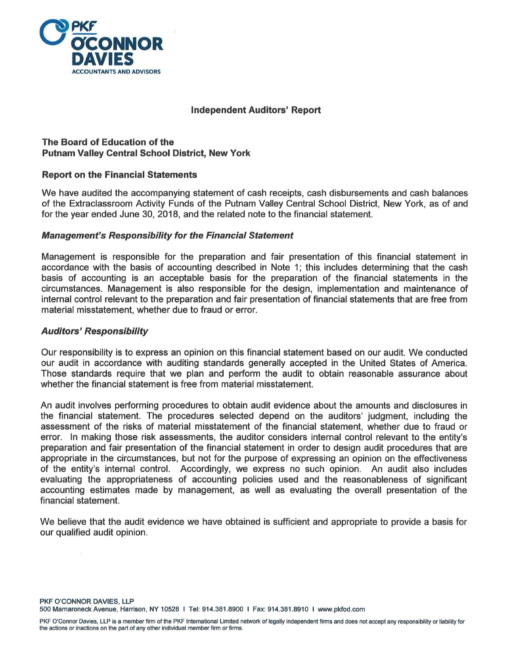

#### **Independent Auditors' Report**

### **The Board of Education of the Putnam Valley Central School District, New York**

#### **Report on the Financial Statements**

We have audited the accompanying statement of cash receipts, cash disbursements and cash balances of the Extraclassroom Activity Funds of the Putnam Valley Central School District, New York, as of and for the year ended June 30, 2018, and the related note to the financial statement.

#### **Management's Responsibility for the Financial Statement**

Management is responsible for the preparation and fair presentation of this financial statement in accordance with the basis of accounting described in Note 1; this includes determining that the cash basis of accounting is an acceptable basis for the preparation of the financial statements in the circumstances. Management is also responsible for the design, implementation and maintenance of internal control relevant to the preparation and fair presentation of financial statements that are free from material misstatement, whether due to fraud or error.

#### **Auditors' Responsibility**

Our responsibility is to express an opinion on this financial statement based on our audit. We conducted our audit in accordance with auditing standards generally accepted in the United States of America. Those standards require that we plan and perform the audit to obtain reasonable assurance about whether the financial statement is free from material misstatement.

An audit involves performing procedures to obtain audit evidence about the amounts and disclosures in the financial statement. The procedures selected depend on the auditors' judgment, including the assessment of the risks of material misstatement of the financial statement, whether due to fraud or error. In making those risk assessments, the auditor considers internal control relevant to the entity's preparation and fair presentation of the financial statement in order to design audit procedures that are appropriate in the circumstances, but not for the purpose of expressing an opinion on the effectiveness of the entity's internal control. Accordingly, we express no such opinion. An audit also includes evaluating the appropriateness of accounting policies used and the reasonableness of significant accounting estimates made by management, as well as evaluating the overall presentation of the financial statement.

We believe that the audit evidence we have obtained is sufficient and appropriate to provide a basis for our qualified audit opinion.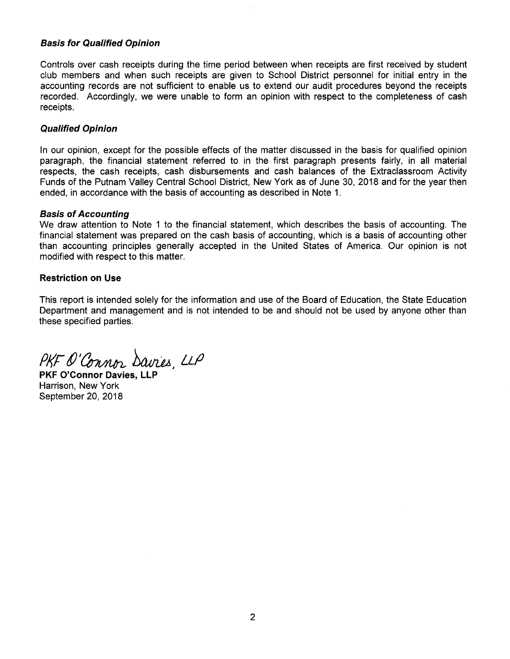#### **Basis for Qualified Opinion**

Controls over cash receipts during the time period between when receipts are first received by student club members and when such receipts are given to School District personnel for initial entry in the accounting records are not sufficient to enable us to extend our audit procedures beyond the receipts recorded. Accordingly, we were unable to form an opinion with respect to the completeness of cash receipts.

#### **Qualified Opinion**

In our opinion, except for the possible effects of the matter discussed in the basis for qualified opinion paragraph, the financial statement referred to in the first paragraph presents fairly, in all material respects, the cash receipts, cash disbursements and cash balances of the Extraclassroom Activity Funds of the Putnam Valley Central School District, New York as of June 30, 2018 and for the year then ended, in accordance with the basis of accounting as described in Note 1.

#### **Basis of Accounting**

We draw attention to Note 1 to the financial statement, which describes the basis of accounting. The financial statement was prepared on the cash basis of accounting, which is a basis of accounting other than accounting principles generally accepted in the United States of America. Our opinion is not modified with respect to this matter.

#### **Restriction on Use**

This report is intended solely for the information and use of the Board of Education, the State Education Department and management and is not intended to be and should not be used by anyone other than these specified parties.

PKF O'Connor Davies, LLP

**PKF O'Connor Davies, LLI** Harrison, New York September 20, 2018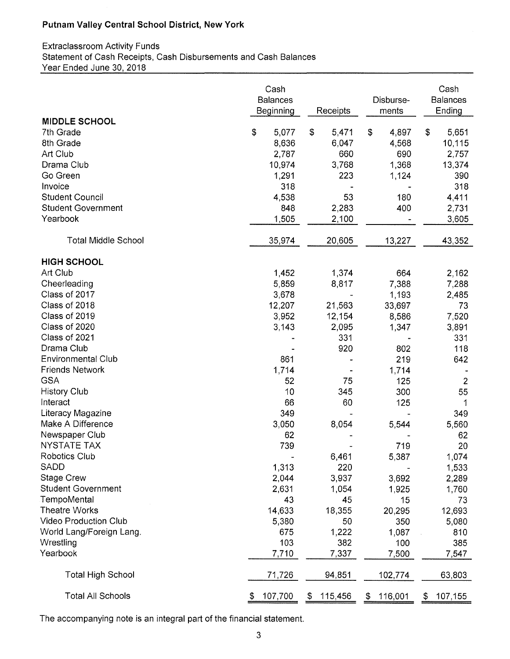## **Putnam Valley Central School District, New York**

#### Extraclassroom Activity Funds Statement of Cash Receipts, Cash Disbursements and Cash Balances Year Ended June 30, 2018

|                                   | Cash<br><b>Balances</b><br>Beginning | Receipts      | Disburse-<br>ments | Cash<br><b>Balances</b><br>Ending |
|-----------------------------------|--------------------------------------|---------------|--------------------|-----------------------------------|
| <b>MIDDLE SCHOOL</b><br>7th Grade | \$<br>5,077                          | \$<br>5,471   | \$<br>4,897        | \$<br>5,651                       |
| 8th Grade                         | 8,636                                | 6,047         | 4,568              | 10,115                            |
| Art Club<br>Drama Club            | 2,787                                | 660           | 690                | 2,757                             |
| Go Green                          | 10,974                               | 3,768<br>223  | 1,368              | 13,374<br>390                     |
| Invoice                           | 1,291<br>318                         |               | 1,124              | 318                               |
| <b>Student Council</b>            | 4,538                                | 53            | 180                | 4,411                             |
| <b>Student Government</b>         | 848                                  | 2,283         | 400                | 2,731                             |
| Yearbook                          | 1,505                                | 2,100         |                    | 3,605                             |
|                                   |                                      |               |                    |                                   |
| <b>Total Middle School</b>        | 35,974                               | 20,605        | 13,227             | 43,352                            |
| <b>HIGH SCHOOL</b>                |                                      |               |                    |                                   |
| Art Club                          | 1,452                                | 1,374         | 664                | 2,162                             |
| Cheerleading                      | 5,859                                | 8,817         | 7,388              | 7,288                             |
| Class of 2017                     | 3,678                                |               | 1,193              | 2,485                             |
| Class of 2018                     | 12,207                               | 21,563        | 33,697             | 73                                |
| Class of 2019                     | 3,952                                | 12,154        | 8,586              | 7,520                             |
| Class of 2020                     | 3,143                                | 2,095         | 1,347              | 3,891                             |
| Class of 2021                     |                                      | 331           |                    | 331                               |
| Drama Club                        |                                      | 920           | 802                | 118                               |
| <b>Environmental Club</b>         | 861                                  |               | 219                | 642                               |
| <b>Friends Network</b>            | 1,714                                |               | 1,714              |                                   |
| <b>GSA</b>                        | 52                                   | 75            | 125                | $\overline{2}$                    |
| <b>History Club</b>               | 10                                   | 345           | 300                | 55                                |
| Interact                          | 66                                   | 60            | 125                | 1                                 |
| Literacy Magazine                 | 349                                  |               |                    | 349                               |
| Make A Difference                 | 3,050                                | 8,054         | 5,544              | 5,560                             |
| Newspaper Club                    | 62                                   |               |                    | 62                                |
| <b>NYSTATE TAX</b>                | 739                                  |               | 719                | 20                                |
| <b>Robotics Club</b>              |                                      | 6,461         | 5,387              | 1,074                             |
| <b>SADD</b>                       | 1,313                                | 220           |                    | 1,533                             |
| <b>Stage Crew</b>                 | 2,044                                | 3,937         | 3,692              | 2,289                             |
| <b>Student Government</b>         | 2,631                                | 1,054         | 1,925              | 1,760                             |
| <b>TempoMental</b>                | 43                                   | 45            | 15                 | 73                                |
| Theatre Works                     | 14,633                               | 18,355        | 20,295             | 12,693                            |
| <b>Video Production Club</b>      | 5,380                                | 50            | 350                | 5,080                             |
| World Lang/Foreign Lang.          | 675                                  | 1,222         | 1,087              | 810                               |
| Wrestling                         | 103                                  | 382           | 100                | 385                               |
| Yearbook                          | 7,710                                | 7,337         | 7,500              | 7,547                             |
| <b>Total High School</b>          | 71,726                               | 94,851        | 102,774            | 63,803                            |
| <b>Total All Schools</b>          | 107,700<br>\$                        | 115,456<br>\$ | 116,001<br>\$      | 107,155<br>\$                     |

The accompanying note is an integral part of the financial statement.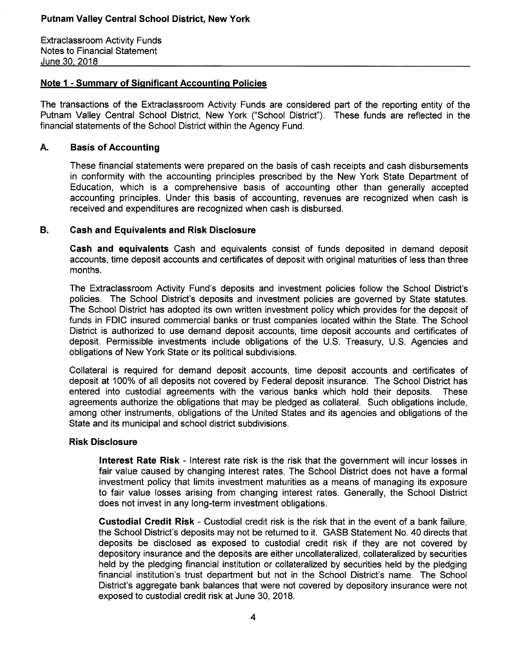Extraclassroom Activity Funds Notes to Financial Statement June 30, 2018

#### **Note 1 - Summary of Significant Accounting Policies**

The transactions of the Extraclassroom Activity Funds are considered part of the reporting entity of the Putnam Valley Central School District, New York ("School District"). These funds are reflected in the financial statements of the School District within the Agency Fund.

#### **A. Basis of Accounting**

These financial statements were prepared on the basis of cash receipts and cash disbursements in conformity with the accounting principles prescribed by the New York State Department of Education, which is a comprehensive basis of accounting other than generally accepted accounting principles. Under this basis of accounting, revenues are recognized when cash is received and expenditures are recognized when cash is disbursed.

#### **8. Cash and Equivalents and Risk Disclosure**

**Cash and equivalents** Cash and equivalents consist of funds deposited in demand deposit accounts, time deposit accounts and certificates of deposit with original maturities of less than three months.

The Extraclassroom Activity Fund's deposits and investment policies follow the School District's policies. The School District's deposits and investment policies are governed by State statutes. The School District has adopted its own written investment policy which provides for the deposit of funds in FDIC insured commercial banks or trust companies located within the State. The School District is authorized to use demand deposit accounts, time deposit accounts and certificates of deposit. Permissible investments include obligations of the U.S. Treasury, U.S. Agencies and obligations of New York State or its political subdivisions.

Collateral is required for demand deposit accounts, time deposit accounts and certificates of deposit at 100% of all deposits not covered by Federal deposit insurance. The School District has entered into custodial agreements with the various banks which hold their deposits. These agreements authorize the obligations that may be pledged as collateral. Such obligations include, among other instruments, obligations of the United States and its agencies and obligations of the State and its municipal and school district subdivisions.

#### **Risk Disclosure**

**Interest Rate Risk** - Interest rate risk is the risk that the government will incur losses in fair value caused by changing interest rates. The School District does not have a formal investment policy that limits investment maturities as a means of managing its exposure to fair value losses arising from changing interest rates. Generally, the School District does not invest in any long-term investment obligations.

**Custodial Credit Risk** - Custodial credit risk is the risk that in the event of a bank failure, the School District's deposits may not be returned to it. GASB Statement No. 40 directs that deposits be disclosed as exposed to custodial credit risk if they are not covered by depository insurance and the deposits are either uncollateralized, collateralized by securities held by the pledging financial institution or collateralized by securities held by the pledging financial institution's trust department but not in the School District's name. The School District's aggregate bank balances that were not covered by depository insurance were not exposed to custodial credit risk at June 30, 2018.